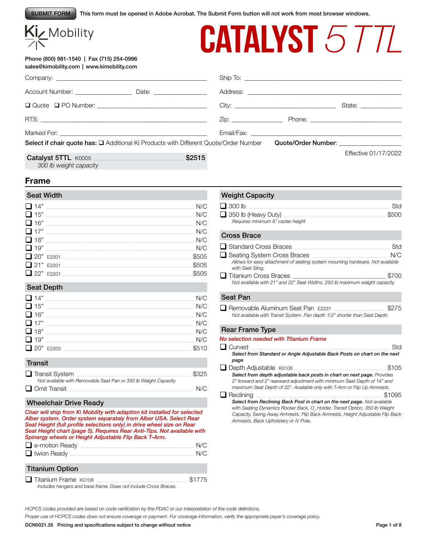This form must be opened in Adobe Acrobat. The Submit Form button will not work from most browser windows. SUBMIT FORM

|          | <u>Kİz Mobility</u> |
|----------|---------------------|
| $\angle$ |                     |

# **CATALYST 5 TTL**

| Phone (800) 981-1540   Fax (715) 254-0996 |  |
|-------------------------------------------|--|
| sales@kimobility.com   www.kimobility.com |  |

|                     |        |  | State: _______________ |
|---------------------|--------|--|------------------------|
|                     |        |  |                        |
|                     |        |  |                        |
|                     |        |  |                        |
| Catalyst 5TTL K0005 | \$2515 |  | Effective 01/17/2022   |

## **Frame**

# Seat Width

*300 lb weight capacity*

| $\Box$ 14" | N/C   |
|------------|-------|
| $\Box$ 15" | N/C   |
| $\Box$ 16" | N/C   |
| $\Box$ 17" | N/C   |
| $\Box$ 18" | N/C   |
| $\Box$ 19" | N/C   |
| 20" E2201  | \$505 |
| 21" E2201  | \$505 |
| 22" E2201  | \$505 |

#### Seat Depth

| $\Box$ 14" | N/C   |
|------------|-------|
| $\Box$ 15" | N/C   |
| $\Box$ 16" | N/C   |
| $\Box$ 17" | N/C   |
| $\Box$ 18" | N/C   |
| $\Box$ 19" | N/C   |
| 20" E2203  | \$510 |

#### **Transit**

| $\Box$ Transit System                                           | \$325 |
|-----------------------------------------------------------------|-------|
| Not available with Removable Seat Pan or 350 lb Weight Capacity |       |
| $\Box$ Omit Transit                                             | N/C   |

#### Wheelchair Drive Ready

*Chair will ship from Ki Mobility with adaption kit installed for selected Alber system. Order system separately from Alber USA. Select Rear Seat Height (full profile selections only) in drive wheel size on Rear Seat Height chart (page 5). Requires Rear Anti-Tips. Not available with Spinergy wheels or Height Adjustable Flip Back T-Arm.* q e-motion Ready \_\_\_\_\_\_\_\_\_\_\_\_\_\_\_\_\_\_\_\_\_\_\_\_\_\_\_\_\_\_\_\_\_\_\_\_\_\_\_\_\_\_\_\_\_\_\_\_\_\_\_\_\_\_\_\_\_\_\_\_\_\_\_\_\_\_\_\_\_\_\_\_\_\_\_\_\_\_\_\_\_\_ N/C  $\Box$  twion Ready

#### Titanium Option

| $\Box$ Titanium Frame K0108                                     | \$1775 |
|-----------------------------------------------------------------|--------|
| Includes hangers and base frame. Does not include Cross Braces. |        |

#### Weight Capacity

| $\Box$ 300 lb                     | Std   |
|-----------------------------------|-------|
| $\Box$ 350 lb (Heavy Duty)        | \$500 |
| Requires minimum 6" caster height |       |

#### Cross Brace

| $\Box$ Standard Cross Braces                                                                      | Std   |
|---------------------------------------------------------------------------------------------------|-------|
| Seating System Cross Braces                                                                       | N/C   |
| Allows for easy attachment of seating system mounting hardware. Not available<br>with Seat Sling. |       |
| $\Box$ Titanium Cross Braces                                                                      | \$700 |
| Not available with 21" and 22" Seat Widths. 250 lb maximum weight capacity.                       |       |

#### Seat Pan

| Removable Aluminum Seat Pan E2231                                          | \$275 |
|----------------------------------------------------------------------------|-------|
| Not available with Transit System. Pan depth 1/2" shorter than Seat Depth. |       |

#### Rear Frame Type

| No selection needed with Titanium Frame                                                                                                                                                                                                                                                        |        |
|------------------------------------------------------------------------------------------------------------------------------------------------------------------------------------------------------------------------------------------------------------------------------------------------|--------|
| Curved                                                                                                                                                                                                                                                                                         | Std    |
| Select from Standard or Angle Adjustable Back Posts on chart on the next                                                                                                                                                                                                                       |        |
| page                                                                                                                                                                                                                                                                                           |        |
| $\Box$ Depth Adjustable $K0108$                                                                                                                                                                                                                                                                | \$105  |
| Select from depth adjustable back posts in chart on next page. Provides<br>2" forward and 2" rearward adjustment with minimum Seat Depth of 14" and<br>maximum Seat Depth of 22". Available only with T-Arm or Flip Up Armrests.                                                               |        |
| Reclining                                                                                                                                                                                                                                                                                      | \$1095 |
| Select from Reclining Back Post in chart on the next page. Not available<br>with Seating Dynamics Rocker Back, O <sub>2</sub> Holder, Transit Option, 350 lb Weight<br>Capacity, Swing Away Armrests, Flip Back Armrests, Height Adjustable Flip Back<br>Armrests, Back Upholstery or IV Pole. |        |

*HCPCS codes provided are based on code verification by the PDAC or our interpretation of the code definitions.*

*Proper use of HCPCS codes does not ensure coverage or payment. For coverage information, verify the appropriate payer's coverage policy.*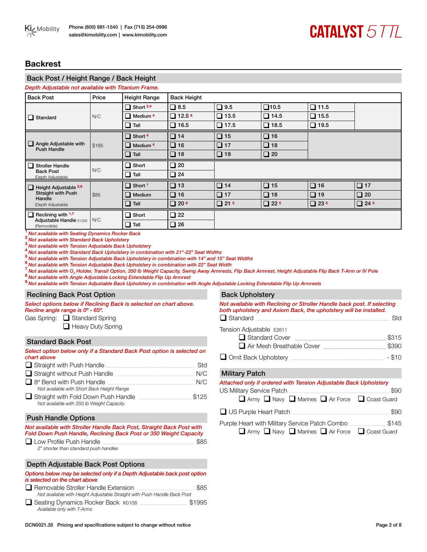### **Backrest**

# Back Post / Height Range / Back Height

| Depth Adjustable not available with Titanium Frame. |       |                            |                        |             |                |             |              |
|-----------------------------------------------------|-------|----------------------------|------------------------|-------------|----------------|-------------|--------------|
| <b>Back Post</b>                                    | Price | <b>Height Range</b>        | <b>Back Height</b>     |             |                |             |              |
|                                                     |       | $\Box$ Short 3,4           | $\square$ 8.5          | $\Box$ 9.5  | $\square$ 10.5 | $\Box$ 11.5 |              |
| $\Box$ Standard                                     | N/C   | $\Box$ Medium <sup>4</sup> | $\Box$ 12.5 $^{\circ}$ | $\Box$ 13.5 | $\Box$ 14.5    | $\Box$ 15.5 |              |
|                                                     |       | $\Box$ Tall                | $\Box$ 16.5            | $\Box$ 17.5 | $\Box$ 18.5    | $\Box$ 19.5 |              |
|                                                     |       | $\Box$ Short 4             | $\Box$ 14              | $\Box$ 15   | $\Box$ 16      |             |              |
| $\Box$ Angle Adjustable with<br><b>Push Handle</b>  | \$185 | $\Box$ Medium <sup>4</sup> | $\Box$ 16              | $\Box$ 17   | $\Box$ 18      |             |              |
|                                                     |       | $\Box$ Tall                | $\Box$ 18              | $\Box$ 19   | $\Box$ 20      |             |              |
|                                                     |       |                            |                        |             |                |             |              |
| $\Box$ Stroller Handle                              |       | $\Box$ Short               | $\Box$ 20              |             |                |             |              |
| <b>Back Post</b><br>(Depth Adjustable)              | N/C   | $\Box$ Tall                | $\Box$ 24              |             |                |             |              |
| Height Adjustable 2,9<br>$\Box$                     |       | $\Box$ Short 1             | $\Box$ 13              | $\Box$ 14   | $\Box$ 15      | $\Box$ 16   | $\square$ 17 |
| <b>Straight with Push</b>                           | \$85  | $\Box$ Medium              | $\Box$ 16              | $\Box$ 17   | $\Box$ 18      | $\Box$ 19   | $\Box$ 20    |
| Handle<br>(Depth Adjustable)                        |       | $\Box$<br>Tall             | $\Box$ 20 $^8$         | $\Box$ 21 5 | $\Box$ 22.5    | $\Box$ 235  | $\Box$ 24.5  |
| $\Box$ Reclining with 1,7                           |       | □<br>Short                 | $\Box$ 22              |             |                |             |              |
| Adjustable Handle E1226<br>(Removable)              | N/C   | $\Box$ Tall                | $\Box$ 26              |             |                |             |              |

**<sup>1</sup>***Not available with Seating Dynamics Rocker Back*

**<sup>2</sup>***Not available with Standard Back Upholstery*

**<sup>3</sup>***Not available with Tension Adjustable Back Upholstery*

4<br>**4** Not available with Standard Back Upholstery in combination with 21"-22" Seat Widths<br><sup>5</sup> Not available with Tension Adjustable Back Upholstery in combination with 14" and 15" Seat Widths

<sup>6</sup> Not available with Tension Adjustable Back Upholstery in combination with 22" Seat Width <sup>7</sup> Not available with O<sub>2</sub> Holder, Transit Option, 350 lb Weight Capacity, Swing Away Armrests, <sup>8</sup> Not available with Angle Adj

7 Not available with O<sub>2</sub> Holder, Transit Option, 350 lb Weight Capacity, Swing Away Armrests, Flip Back Armrest, Height Adjustable Flip Back T-Arm or IV Pole

**<sup>9</sup>***Not available with Tension Adjustable Back Upholstery in combination with Angle Adjustable Locking Extendable Flip Up Armrests*

#### Reclining Back Post Option

*Select options below if Reclining Back is selected on chart above. Recline angle range is 0º - 65º.*

Gas Spring: Gas Spring

 $\Box$  Heavy Duty Spring

#### Standard Back Post

| Select option below only if a Standard Back Post option is selected on<br>chart above |       |
|---------------------------------------------------------------------------------------|-------|
| $\Box$ Straight with Push Handle                                                      | Std   |
| $\Box$ Straight without Push Handle                                                   | N/C   |
| $\Box$ 8° Bend with Push Handle                                                       | N/C   |
| Not available with Short Back Height Range                                            |       |
| Straight with Fold Down Push Handle<br>Not available with 350 lb Weight Capacity      | \$125 |

#### Push Handle Options

#### *Not available with Stroller Handle Back Post, Straight Back Post with Fold Down Push Handle, Reclining Back Post or 350 Weight Capacity*

| $\Box$ Low Profile Push Handle        | \$85 |
|---------------------------------------|------|
| 2" shorter than standard push handles |      |

#### Depth Adjustable Back Post Options

| Options below may be selected only if a Depth Adjustable back post option<br>is selected on the chart above            |        |
|------------------------------------------------------------------------------------------------------------------------|--------|
| $\Box$ Removable Stroller Handle Extension<br>Not available with Height Adjustable Straight with Push Handle Back Post | \$85   |
| Seating Dynamics Rocker Back K0108<br>Available only with T-Arms                                                       | \$1995 |

| <b>Back Upholstery</b>                                                                                                                       |        |
|----------------------------------------------------------------------------------------------------------------------------------------------|--------|
| Not available with Reclining or Stroller Handle back post. If selecting<br>both upholstery and Axiom Back, the upholstery will be installed. |        |
| $\Box$ Standard                                                                                                                              | Std    |
| Tension Adjustable E2611                                                                                                                     |        |
| Standard Cover                                                                                                                               | \$315  |
| $\Box$ Air Mesh Breathable Cover                                                                                                             | \$390  |
| $\Box$ Omit Back Upholstery                                                                                                                  | - \$10 |

#### Military Patch

*Attached only if ordered with Tension Adjustable Back Upholstery*

| US Military Service Patch<br>$\Box$ Army $\Box$ Navy $\Box$ Marines $\Box$ Air Force $\Box$ Coast Guard | \$90  |
|---------------------------------------------------------------------------------------------------------|-------|
| $\Box$ US Purple Heart Patch                                                                            | \$90  |
| Purple Heart with Military Service Patch Combo<br>□ Army □ Navy □ Marines □ Air Force □ Coast Guard     | \$145 |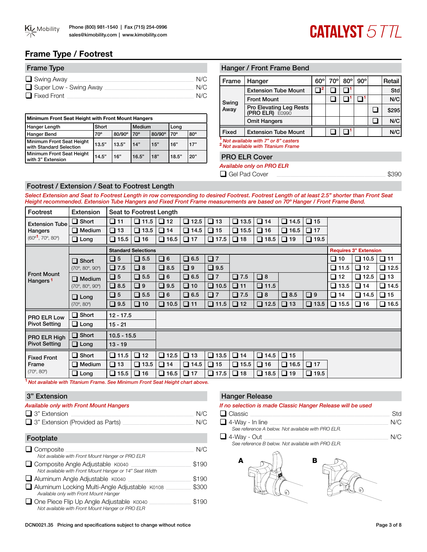

# **CATALYST 5 TTL**

# **Frame Type / Footrest**

| <b>Frame Type</b>      |     |
|------------------------|-----|
| $\Box$ Swing Away      | N/C |
| Super Low - Swing Away | N/C |
| $\Box$ Fixed Front     | N/C |

| Minimum Front Seat Height with Front Mount Hangers   |              |        |        |        |              |            |
|------------------------------------------------------|--------------|--------|--------|--------|--------------|------------|
| Hanger Length                                        | Short        |        | Medium |        | Long         |            |
| Hanger Bend                                          | $70^{\circ}$ | 80/90° | 70°    | 80/90° | $70^{\circ}$ | $80^\circ$ |
| Minimum Front Seat Height<br>with Standard Selection | 13.5"        | 13.5"  | 14"    | 15"    | 16"          | 17"        |
| Minimum Front Seat Height<br>with 3" Extension       | 14.5"        | 16"    | 16.5"  | 18"    | 18.5"        | 20"        |

#### Hanger / Front Frame Bend

| Frame | Hanger                                                                                | $60^\circ$ | 70° | $80^\circ$ | $90^{\circ}$ | Retail |
|-------|---------------------------------------------------------------------------------------|------------|-----|------------|--------------|--------|
|       | <b>Extension Tube Mount</b>                                                           |            |     |            |              | Std    |
| Swing | <b>Front Mount</b>                                                                    |            |     |            |              | N/C    |
| Away  | Pro Elevating Leg Rests<br>(PRO ELR) E0990                                            |            |     |            |              | \$295  |
|       | <b>Omit Hangers</b>                                                                   |            |     |            |              | N/C    |
| Fixed | <b>Extension Tube Mount</b>                                                           |            |     |            |              | N/C    |
|       | Not available with 7" or 8" casters<br><sup>2</sup> Not available with Titanium Frame |            |     |            |              |        |

#### PRO ELR Cover

*Available only on PRO ELR*

**Q** Gel Pad Cover  $\Box$ 

#### Footrest / Extension / Seat to Footrest Length

*Select Extension and Seat to Footrest Length in row corresponding to desired Footrest. Footrest Length of at least 2.5" shorter than Front Seat Height recommended. Extension Tube Hangers and Fixed Front Frame measurements are based on 70º Hanger / Front Frame Bend.* 

| Footrest                                   | <b>Extension</b>                       |               | Seat to Footrest Length    |             |             |             |             |             |             |             |                |                              |                |
|--------------------------------------------|----------------------------------------|---------------|----------------------------|-------------|-------------|-------------|-------------|-------------|-------------|-------------|----------------|------------------------------|----------------|
| <b>Extension Tube</b>                      | $\Box$ Short                           | $\Box$ 11     | $\Box$ 11.5                | $\Box$ 12   | $\Box$ 12.5 | $\Box$ 13   | $\Box$ 13.5 | $\Box$ 14   | $\Box$ 14.5 | $\Box$ 15   |                |                              |                |
| Hangers                                    | $\Box$ Medium                          | $\square$ 13  | $\Box$ 13.5                | $\Box$ 14   | $\Box$ 14.5 | $\Box$ 15   | $\Box$ 15.5 | $\Box$ 16   | $\Box$ 16.5 | $\Box$ 17   |                |                              |                |
| $(60^{\circ}1, 70^{\circ}, 80^{\circ})$    | $\Box$ Long                            | $\Box$ 15.5   | $\Box$ 16                  | $\Box$ 16.5 | $\Box$ 17   | $\Box$ 17.5 | $\Box$ 18   | $\Box$ 18.5 | $\Box$ 19   | $\Box$ 19.5 |                |                              |                |
|                                            |                                        |               | <b>Standard Selections</b> |             |             |             |             |             |             |             |                | <b>Requires 3" Extension</b> |                |
|                                            | $\Box$ Short                           | $\square$ 5   | $\Box$ 5.5                 | $\Box$ 6    | $\Box$ 6.5  | $\square$ 7 |             |             |             |             | $\square$ 10   | $\Box$ 10.5                  | $\Box$ 11      |
|                                            | $(70^{\circ}, 80^{\circ}, 90^{\circ})$ | $\Box$ 7.5    | $\Box$ 8                   | $\Box$ 8.5  | $\Box$ 9    | $\Box$ 9.5  |             |             |             |             | $\square$ 11.5 | $\square$ 12                 | $\square$ 12.5 |
| <b>Front Mount</b><br>Hangers <sup>1</sup> | $\Box$ Medium                          | $\square$ 5   | $\square$ 5.5              | $\Box$ 6    | $\Box$ 6.5  | $\square$ 7 | $\Box$ 7.5  | $\Box$ 8    |             |             | ❏ 12           | $\square$ 12.5               | $\Box$ 13      |
| $(70^{\circ}, 80^{\circ}, 90^{\circ})$     |                                        | $\Box$ 8.5    | $\square$ 9                | $\Box$ 9.5  | $\Box$ 10   | $\Box$ 10.5 | $\Box$ 11   | $\Box$ 11.5 |             |             | $\Box$ 13.5    | $\Box$ 14                    | $\square$ 14.5 |
|                                            | $\Box$ Long                            | $\square$ 5   | $\Box$ 5.5                 | $\Box$ 6    | $\Box$ 6.5  | $\Box$ 7    | $\Box$ 7.5  | $\Box$ 8    | $\Box$ 8.5  | $\Box$ 9    | $\Box$ 14      | $\square$ 14.5               | $\Box$ 15      |
|                                            | $(70^{\circ}, 80^{\circ})$             | $\Box$ 9.5    | $\Box$ 10                  | $\Box$ 10.5 | $\Box$ 11   | $\Box$ 11.5 | $\Box$ 12   | $\Box$ 12.5 | $\Box$ 13   | $\Box$ 13.5 | $\square$ 15.5 | $\Box$ 16                    | $\Box$ 16.5    |
| PRO ELR Low                                | $\Box$ Short                           | $12 - 17.5$   |                            |             |             |             |             |             |             |             |                |                              |                |
| <b>Pivot Setting</b>                       | $\Box$ Long                            | $15 - 21$     |                            |             |             |             |             |             |             |             |                |                              |                |
| PRO ELR High                               | $\Box$ Short                           | $10.5 - 15.5$ |                            |             |             |             |             |             |             |             |                |                              |                |
| <b>Pivot Setting</b>                       | $\Box$ Long                            | $13 - 19$     |                            |             |             |             |             |             |             |             |                |                              |                |
| <b>Fixed Front</b>                         | $\Box$ Short                           | $\Box$ 11.5   | $\Box$ 12                  | $\Box$ 12.5 | $\Box$ 13   | $\Box$ 13.5 | $\Box$ 14   | $\Box$ 14.5 | $\Box$ 15   |             |                |                              |                |
| Frame                                      | $\Box$ Medium                          | $\Box$ 13     | $\Box$ 13.5                | $\Box$ 14   | $\Box$ 14.5 | $\Box$ 15   | $\Box$ 15.5 | $\Box$ 16   | $\Box$ 16.5 | $\Box$ 17   |                |                              |                |
| $(70^{\circ}, 80^{\circ})$                 | $\Box$ Long                            | $\Box$ 15.5   | $\Box$ 16                  | $\Box$ 16.5 | $\Box$ 17   | $\Box$ 17.5 | $\Box$ 18   | $\Box$ 18.5 | $\Box$ 19   | $\Box$ 19.5 |                |                              |                |

**<sup>1</sup>** *Not available with Titanium Frame. See Minimum Front Seat Height chart above.*

#### 3" Extension

#### *Available only with Front Mount Hangers*

| $\Box$ 3" Extension                     | N/C |
|-----------------------------------------|-----|
| $\Box$ 3" Extension (Provided as Parts) | N/C |

#### Footplate

| $\Box$ Composite                                        | N/C   |
|---------------------------------------------------------|-------|
| Not available with Front Mount Hanger or PRO ELR        |       |
| $\Box$ Composite Angle Adjustable $K0040$               | \$190 |
| Not available with Front Mount Hanger or 14" Seat Width |       |
| Aluminum Angle Adjustable K0040                         | \$190 |
| Aluminum Locking Multi-Angle Adjustable K0108           | \$300 |
| Available only with Front Mount Hanger                  |       |
| One Piece Flip Up Angle Adjustable K0040                | \$190 |
| Not available with Front Mount Hanger or PRO ELR        |       |

# Hanger Release

#### *If no selection is made Classic Hanger Release will be used*

| $\Box$ Classic                                     | Std |
|----------------------------------------------------|-----|
| $\Box$ 4-Way - In line                             | N/C |
| See reference A below. Not available with PRO ELR. |     |
| $\Box$ 4-Way - Out                                 | N/C |
| See reference B below. Not available with PRO ELR. |     |

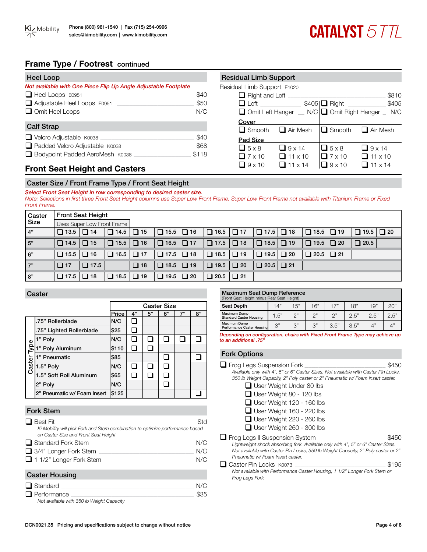# **Frame Type / Footrest** continued

| <b>Heel Loop</b>                                                |       | <b>Residual Limb Support</b> |               |
|-----------------------------------------------------------------|-------|------------------------------|---------------|
| Not available with One Piece Flip Up Angle Adjustable Footplate |       | Residual Limb Support E102   |               |
| $\Box$ Heel Loops E0951                                         | \$40  | $\Box$ Right and Left $\Box$ |               |
| $\Box$ Adjustable Heel Loops $E0951$                            | \$50  | $\Box$ Left                  |               |
| $\Box$ Omit Heel Loops                                          | N/C   | $\Box$ Omit Left Hanger      |               |
| <b>Calf Strap</b>                                               |       | Cover<br>$\Box$ Smooth       | <b>∟l</b> Air |
| $\Box$ Velcro Adjustable $K0038$                                | \$40  | Pad Size                     |               |
| Padded Velcro Adjustable K0038                                  | \$68  | $\Box$ 5 x 8                 | ו⊑ ∃          |
| Bodypoint Padded AeroMesh K0038                                 | \$118 | $\Box$ 7 x 10                | $\Box$ 11     |

| <b>Residual Limb Support</b> |                                              |                       |                 |  |  |  |  |  |  |
|------------------------------|----------------------------------------------|-----------------------|-----------------|--|--|--|--|--|--|
| Residual Limb Support E1020  |                                              |                       |                 |  |  |  |  |  |  |
| $\Box$ Right and Left        |                                              |                       | \$810           |  |  |  |  |  |  |
| $\Box$ Left                  |                                              | \$405  <b>■</b> Right | \$405           |  |  |  |  |  |  |
|                              | □ Omit Left Hanger _ N/C Omit Right Hanger _ |                       | N/C             |  |  |  |  |  |  |
| Cover                        |                                              |                       |                 |  |  |  |  |  |  |
| $\Box$ Smooth                | $\Box$ Air Mesh                              | $\Box$ Smooth         | $\Box$ Air Mesh |  |  |  |  |  |  |
| Pad Size                     |                                              |                       |                 |  |  |  |  |  |  |
| $\Box$ 5 x 8                 | $\Box$ 9 x 14                                | $\Box$ 5 x 8          | $\Box$ 9 x 14   |  |  |  |  |  |  |
| $\Box$ 7 x 10                | $\Box$ 11 x 10                               | $\Box$ 7 x 10         | $\Box$ 11 x 10  |  |  |  |  |  |  |
| $9 \times 10$                | $11 \times 14$                               | $9 \times 10$         | $11 \times 14$  |  |  |  |  |  |  |

# **Front Seat Height and Casters**

#### Caster Size / Front Frame Type / Front Seat Height

*Select Front Seat Height in row corresponding to desired caster size.*

*Note: Selections in first three Front Seat Height columns use Super Low Front Frame. Super Low Front Frame not available with Titanium Frame or Fixed Front Frame.* 

| Caster | <b>Front Seat Height</b> |                            |                       |           |                                             |           |             |           |             |           |             |           |             |           |
|--------|--------------------------|----------------------------|-----------------------|-----------|---------------------------------------------|-----------|-------------|-----------|-------------|-----------|-------------|-----------|-------------|-----------|
| Size   |                          | Uses Super Low Front Frame |                       |           |                                             |           |             |           |             |           |             |           |             |           |
| 4"     | $\Box$ 13.5              | $\Box$ 14                  | $\Box$ 14.5           | $\Box$ 15 | $\Box$ 15.5                                 | $\Box$ 16 | $\Box$ 16.5 | $\Box$ 17 |             |           | $\Box$ 18.5 | $\Box$ 19 | $\Box$ 19.5 | $\Box$ 20 |
| 5"     | $\Box$ 14.5              | $\Box$ 15                  | $\Box$ 15.5 $\Box$ 16 |           | $\Box$ 16.5 $\Box$ 17                       |           | $\Box$ 17.5 | $\Box$ 18 |             |           | $\Box$ 19.5 | $\Box$ 20 | $\Box$ 20.5 |           |
| 6"     | $\Box$ 15.5              | $\Box$ 16                  | $\Box$ 16.5           | $\Box$ 17 | $\Box$ 17.5                                 | $\Box$ 18 | $\Box$ 18.5 | $\Box$ 19 | $\Box$ 19.5 | $\Box$ 20 | $\Box$ 20.5 | $\Box$ 21 |             |           |
| 7"     | $\Box$ 17                | $\Box$ 17.5                |                       | $\Box$ 18 | $\boxed{\square}$ 18.5 $\boxed{\square}$ 19 |           | $\Box$ 19.5 | $\Box$ 20 | $\Box$ 20.5 | $\Box$ 21 |             |           |             |           |
| 8"     | $\Box$ 17.5              | $\Box$ 18                  | $\Box$ 18.5           | $\Box$ 19 | $\Box$ 19.5 $\Box$ 20                       |           | $\Box$ 20.5 | $\Box$ 21 |             |           |             |           |             |           |

#### **Caster**

|        |                             |       |    | <b>Caster Size</b> |    |    |    |
|--------|-----------------------------|-------|----|--------------------|----|----|----|
|        |                             | Price | 4" | 5"                 | 6" | 7" | 8" |
|        | .75" Rollerblade            | N/C   |    |                    |    |    |    |
|        | .75" Lighted Rollerblade    | \$25  |    |                    |    |    |    |
|        | 1" Poly                     | N/C   |    |                    |    |    |    |
| Type   | 1" Poly Aluminum            | \$110 |    |                    |    |    |    |
|        | 1" Pneumatic                | \$85  |    |                    |    |    |    |
| Caster | 1.5" Poly                   | N/C   |    |                    |    |    |    |
|        | 1.5" Soft Roll Aluminum     | \$65  |    |                    |    |    |    |
|        | 2" Poly                     | N/C   |    |                    |    |    |    |
|        | 2" Pneumatic w/ Foam Insert | \$125 |    |                    |    |    |    |

#### Fork Stem

| Best Fit                                                                                                              | Std |
|-----------------------------------------------------------------------------------------------------------------------|-----|
| Ki Mobility will pick Fork and Stem combination to optimize performance based<br>on Caster Size and Front Seat Height |     |
| $\Box$ Standard Fork Stem                                                                                             | N/C |
| $\Box$ 3/4" Longer Fork Stem                                                                                          | N/C |
| $\Box$ 1 1/2" Longer Fork Stem                                                                                        | N/C |
| <b>Caster Housing</b>                                                                                                 |     |

| $\Box$ Standard                           | N/C  |
|-------------------------------------------|------|
| $\Box$ Performance                        | \$35 |
| Not available with 350 lb Weight Capacity |      |

| <b>Maximum Seat Dump Reference</b><br>(Front Seat Height minus Rear Seat Height)                      |      |     |     |      |      |      |      |  |  |  |
|-------------------------------------------------------------------------------------------------------|------|-----|-----|------|------|------|------|--|--|--|
| <b>Seat Depth</b>                                                                                     | 14"  | 15" | 16" | 17"  | 18"  | 19"  | 20"  |  |  |  |
| Maximum Dump<br><b>Standard Caster Housing</b>                                                        | 1.5" | つ"  | つ"  | つ"   | 2.5" | 2.5" | 2.5" |  |  |  |
| <b>Maximum Dump</b><br>Performance Caster Housing                                                     | 3"   | 3"  | 3"  | 3.5" | 3.5" | 4"   |      |  |  |  |
| Provincialización e confirmacións de chamosolika Finant Facat Facar e Taxon acesso de la constitución |      |     |     |      |      |      |      |  |  |  |

*Depending on configuration, chairs with Fixed Front Frame Type may achieve up to an additional .75"*

#### Fork Options

| Frog Legs Suspension Fork                                                                                                                                                                                                                   | \$450 |
|---------------------------------------------------------------------------------------------------------------------------------------------------------------------------------------------------------------------------------------------|-------|
| Available only with 4", 5" or 6" Caster Sizes. Not available with Caster Pin Locks,                                                                                                                                                         |       |
| 350 lb Weight Capacity, 2" Poly caster or 2" Pneumatic w/ Foam Insert caster.                                                                                                                                                               |       |
| □ User Weight Under 80 lbs                                                                                                                                                                                                                  |       |
| $\Box$ User Weight 80 - 120 lbs                                                                                                                                                                                                             |       |
| $\Box$ User Weight 120 - 160 lbs                                                                                                                                                                                                            |       |
| $\Box$ User Weight 160 - 220 lbs                                                                                                                                                                                                            |       |
| $\Box$ User Weight 220 - 260 lbs                                                                                                                                                                                                            |       |
| $\Box$ User Weight 260 - 300 lbs                                                                                                                                                                                                            |       |
| Frog Legs II Suspension System<br>Lightweight shock absorbing fork. Available only with 4", 5" or 6" Caster Sizes.<br>Not available with Caster Pin Locks, 350 lb Weight Capacity, 2" Poly caster or 2"<br>Pneumatic w/ Foam Insert caster. | \$450 |
| Caster Pin Locks K0073                                                                                                                                                                                                                      | \$195 |
| Not available with Performance Caster Housing, 1 1/2" Longer Fork Stem or<br>Frog Legs Fork                                                                                                                                                 |       |
|                                                                                                                                                                                                                                             |       |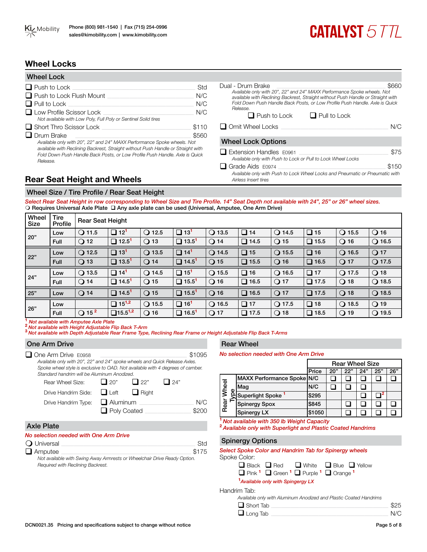# **CATALYST 5TTT**

# **Wheel Locks**

| <b>Wheel Lock</b>                                                                                                                                                                                                                                      |       |
|--------------------------------------------------------------------------------------------------------------------------------------------------------------------------------------------------------------------------------------------------------|-------|
| $\Box$ Push to Lock                                                                                                                                                                                                                                    | Std   |
| $\Box$ Push to Lock Flush Mount                                                                                                                                                                                                                        | N/C   |
| $\Box$ Pull to Lock                                                                                                                                                                                                                                    | N/C   |
| $\Box$ Low Profile Scissor Lock<br>Not available with Low Poly, Full Poly or Sentinel Solid tires                                                                                                                                                      | N/C   |
| $\Box$ Short Thro Scissor Lock                                                                                                                                                                                                                         | \$110 |
| ∟ Drum Brake                                                                                                                                                                                                                                           | \$560 |
| Available only with 20", 22" and 24" MAXX Performance Spoke wheels. Not<br>available with Reclining Backrest, Straight without Push Handle or Straight with<br>Fold Down Push Handle Back Posts, or Low Profile Push Handle, Axle is Quick<br>Release. |       |

| Dual - Drum Brake<br>Available only with 20", 22" and 24" MAXX Performance Spoke wheels. Not<br>available with Reclining Backrest, Straight without Push Handle or Straight with<br>Fold Down Push Handle Back Posts, or Low Profile Push Handle. Axle is Quick<br>Release. | \$660 |
|-----------------------------------------------------------------------------------------------------------------------------------------------------------------------------------------------------------------------------------------------------------------------------|-------|
| $\Box$ Push to Lock<br>$\Box$ Pull to Lock                                                                                                                                                                                                                                  |       |
| $\Box$ Omit Wheel Locks                                                                                                                                                                                                                                                     | N/C   |
| <b>Wheel Lock Options</b>                                                                                                                                                                                                                                                   |       |
| $\Box$ Extension Handles $E0961$<br>Available only with Push to Lock or Pull to Lock Wheel Locks                                                                                                                                                                            | \$75  |

 $\Box$  Grade Aids E0974  $\Box$ *Available only with Push to Lock Wheel Locks and Pneumatic or Pneumatic with Airless Insert tires*

# **Rear Seat Height and Wheels**

#### Wheel Size / Tire Profile / Rear Seat Height

*Select Rear Seat Height in row corresponding to Wheel Size and Tire Profile. 14" Seat Depth not available with 24", 25" or 26" wheel sizes.*  O Requires Universal Axle Plate Q Any axle plate can be used (Universal, Amputee, One Arm Drive)

| Wheel<br>Size | Tire<br>Profile | <b>Rear Seat Height</b>    |                          |                 |                           |                 |             |                 |              |                 |                 |
|---------------|-----------------|----------------------------|--------------------------|-----------------|---------------------------|-----------------|-------------|-----------------|--------------|-----------------|-----------------|
| 20"           | Low             | $\Omega$ 11.5              | $\Box$ 12 <sup>1</sup>   | $\bigcirc$ 12.5 | ❏<br>13 <sup>1</sup>      | $\bigcirc$ 13.5 | $\Box$ 14   | $\bigcirc$ 14.5 | $\Box$ 15    | $\bigcirc$ 15.5 | $\bigcirc$ 16   |
|               | <b>Full</b>     | $\bigcirc$ 12              | $\Box$ 12.5 <sup>1</sup> | $Q$ 13          | $\Box$ 13.5 <sup>1</sup>  | $\bigcirc$ 14   | $\Box$ 14.5 | Q15             | $\Box$ 15.5  | $Q$ 16          | $Q$ 16.5        |
| 22"           | Low             | $\bigcirc$ 12.5            | $\Box$ 13 <sup>1</sup>   | $\bigcirc$ 13.5 | $\Box$<br>14 <sup>1</sup> | $Q$ 14.5        | $\Box$ 15   | $\bigcirc$ 15.5 | $\Box$ 16    | $\bigcirc$ 16.5 | $\bigcirc$ 17   |
|               | Full            | $\bigcirc$ 13              | $\Box$ 13.5 <sup>1</sup> | $\bigcirc$ 14   | $\Box$ 14.5 <sup>1</sup>  | $\bigcirc$ 15   | $\Box$ 15.5 | $Q$ 16          | $\Box$ 16.5  | $\bigcirc$ 17   | $\bigcirc$ 17.5 |
| 24"           | Low             | $\bigcirc$ 13.5            | $\Box$ 14 <sup>1</sup>   | $\bigcirc$ 14.5 | $\Box$<br>$15^1$          | $\bigcirc$ 15.5 | $\Box$ 16   | $\bigcirc$ 16.5 | $\square$ 17 | $\bigcirc$ 17.5 | $\bigcirc$ 18   |
|               | <b>Full</b>     | $\bigcirc$ 14              | $\Box$ 14.5 <sup>1</sup> | $Q$ 15          | $\Box$ 15.5 <sup>1</sup>  | $\bigcirc$ 16   | $\Box$ 16.5 | $\bigcirc$ 17   | $\Box$ 17.5  | $Q$ 18          | $\bigcirc$ 18.5 |
| 25"           | Low             | $\bigcirc$ 14              | $\Box$ 14.5 <sup>1</sup> | $\bigcirc$ 15   | $\Box$ 15.5 <sup>1</sup>  | $Q$ 16          | $\Box$ 16.5 | Q17             | $\Box$ 17.5  | $Q$ 18          | $Q$ 18.5        |
|               | Low             |                            | $\Box$ 15 <sup>1,2</sup> | $\bigcirc$ 15.5 | $\Box$ 16 <sup>1</sup>    | $\bigcirc$ 16.5 | $\Box$ 17   | $\bigcirc$ 17.5 | $\Box$ 18    | $\Omega$ 18.5   | $\bigcirc$ 19   |
| 26"           |                 | $\bigcirc$ 15 <sup>2</sup> |                          |                 |                           |                 |             |                 |              |                 |                 |

<sup>1</sup> Not available with Amputee Axle Plate<br><sup>2</sup> Not available with Height Adjustable Flip Back T-Arm<br><sup>3</sup> Not available with Depth Adjustable Rear Frame Type, Reclining Rear Frame or Height Adjustable Flip Back T-Arms

#### One Arm Drive

q One Arm Drive E0958\_\_\_\_\_\_\_\_\_\_\_\_\_\_\_\_\_\_\_\_\_\_\_\_\_\_\_\_\_\_\_\_\_\_\_\_\_\_\_\_\_\_\_\_\_\_\_\_\_\_\_\_\_\_\_\_\_\_\_\_\_\_ \$1095 *Available only with 20", 22" and 24" spoke wheels and Quick Release Axles. Spoke wheel style is exclusive to OAD. Not available with 4 degrees of camber. Standard handrim will be Aluminum Anodized.*

| Rear Wheel Size:                             | $\Box$ 20"         | $\Box$ 22" | $\Box$ 24" |       |
|----------------------------------------------|--------------------|------------|------------|-------|
| Drive Handrim Side: $\Box$ Left $\Box$ Right |                    |            |            |       |
| Drive Handrim Type: $\Box$ Aluminum          |                    |            |            | N/C   |
|                                              | $\Box$ Poly Coated |            |            | \$200 |

#### Axle Plate

#### *No selection needed with One Arm Drive*

| $\Omega$ Universal                                                       | Std   |
|--------------------------------------------------------------------------|-------|
| $\Box$ Amputee                                                           | \$175 |
| Not available with Swing Away Armrests or Wheelchair Drive Ready Option. |       |
| Required with Reclining Backrest.                                        |       |

### Rear Wheel

*No selection needed with One Arm Drive*

|       |   |                                | <b>Rear Wheel Size</b> |     |     |     |     |     |
|-------|---|--------------------------------|------------------------|-----|-----|-----|-----|-----|
|       |   |                                | Price                  | 20" | 22" | 24" | 25" | 26" |
| Wheel |   | MAXX Performance Spoke N/C     |                        |     |     |     |     |     |
|       | Φ | Mag                            | N/C                    |     |     |     |     |     |
|       |   | 익Superlight Spoke <sup>1</sup> | \$295                  |     |     |     |     |     |
| Rear  |   | <b>Spinergy Spox</b>           | \$845                  |     |     |     |     |     |
|       |   | Spinergy LX                    | \$1050                 |     |     |     |     |     |

**<sup>1</sup>***Not available with 350 lb Weight Capacity*

**<sup>2</sup>***Available only with Superlight and Plastic Coated Handrims*

#### Spinergy Options

#### *Select Spoke Color and Handrim Tab for Spinergy wheels* Spoke Color:

|                                               | $\Box$ Black $\Box$ Red $\Box$ White $\Box$ Blue $\Box$ Yellow |  |
|-----------------------------------------------|----------------------------------------------------------------|--|
|                                               | $\Box$ Pink $\Box$ Green $\Box$ Purple $\Box$ Orange $\Box$    |  |
| <sup>1</sup> Available only with Spingergy LX |                                                                |  |

Handrim Tab:

| Available only with Aluminum Anodized and Plastic Coated Handrims |  |  |  |  |  |  |  |
|-------------------------------------------------------------------|--|--|--|--|--|--|--|
|-------------------------------------------------------------------|--|--|--|--|--|--|--|

| $\Box$ Short Tab | \$25 |
|------------------|------|
| $\Box$ Long Tab  | N/C  |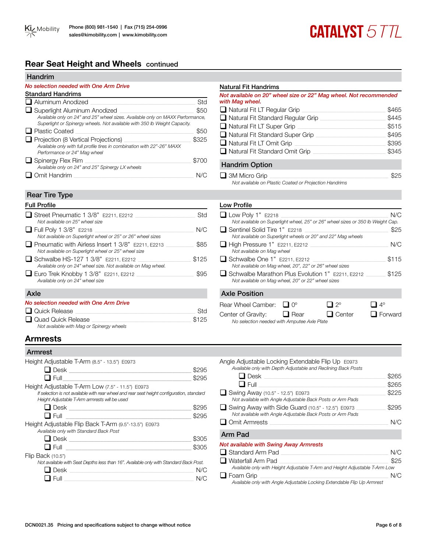## **Rear Seat Height and Wheels** continued

#### Handrim

#### *No selection needed with One Arm Drive*

| <b>Standard Handrims</b>                                                                                                                                                                           |       |
|----------------------------------------------------------------------------------------------------------------------------------------------------------------------------------------------------|-------|
| $\Box$ Aluminum Anodized                                                                                                                                                                           | Std   |
| $\Box$ Superlight Aluminum Anodized<br>Available only on 24" and 25" wheel sizes. Available only on MAXX Performance,<br>Superlight or Spinergy wheels. Not available with 350 lb Weight Capacity. | \$50  |
| $\Box$ Plastic Coated                                                                                                                                                                              | \$50  |
| $\Box$ Projection (8 Vertical Projections)<br>Available only with full profile tires in combination with 22"-26" MAXX<br>Performance or 24" Mag wheel                                              | \$325 |
| $\Box$ Spinergy Flex Rim<br>Available only on 24" and 25" Spinergy LX wheels                                                                                                                       | \$700 |
| Omit Handrim                                                                                                                                                                                       |       |

#### Rear Tire Type

| <b>Full Profile</b>                                                                                      |       |
|----------------------------------------------------------------------------------------------------------|-------|
| $\Box$ Street Pneumatic 1 3/8" E2211. E2212<br>Not available on 25" wheel size                           | Std   |
| $\Box$ Full Poly 1 3/8" E2218<br>Not available on Superlight wheel or 25" or 26" wheel sizes             | N/C   |
| Pneumatic with Airless Insert 1 3/8" E2211. E2213<br>Not available on Superlight wheel or 25" wheel size | \$85  |
| Schwalbe HS-127 1 3/8" E2211, E2212<br>Available only on 24" wheel size. Not available on Mag wheel.     | \$125 |
| $\Box$ Euro Trek Knobby 1 3/8" E2211, E2212<br>Available only on 24" wheel size                          | \$95  |
| Axle                                                                                                     |       |
| No selection needed with One Arm Drive                                                                   |       |
| l Quick Release                                                                                          | Std   |
| Quad Quick Release<br>Not available with Mag or Spinergy wheels                                          | \$125 |

# **Armrests**

| Armrest                                                                                                                                     |       |
|---------------------------------------------------------------------------------------------------------------------------------------------|-------|
| Height Adjustable T-Arm (8.5" - 13.5") E0973                                                                                                |       |
| $\Box$ Desk                                                                                                                                 | \$295 |
| $\Box$ Full                                                                                                                                 | \$295 |
| Height Adjustable T-Arm Low (7.5" - 11.5") E0973                                                                                            |       |
| If selection is not available with rear wheel and rear seat height configuration, standard<br>Height Adjustable T-Arm armrests will be used |       |
| □ Desk _________________________                                                                                                            | \$295 |
| $\sqcup$ Full                                                                                                                               | \$295 |
| Height Adjustable Flip Back T-Arm (9.5"-13.5") E0973<br>Available only with Standard Back Post                                              |       |
| $\Box$ Desk                                                                                                                                 | \$305 |
|                                                                                                                                             | \$305 |
| Flip Back (10.5")                                                                                                                           |       |
| Not available with Seat Depths less than 16". Available only with Standard Back Post.                                                       |       |
| l Desk                                                                                                                                      | N/C   |
| Full                                                                                                                                        |       |

#### Natural Fit Handrims

*Not available on 20" wheel size or 22" Mag wheel. Not recommended with Mag wheel.*

**CATALYST 577L** 

| $\Box$ Natural Fit LT Regular Grip       | \$465 |
|------------------------------------------|-------|
| $\Box$ Natural Fit Standard Regular Grip | \$445 |
| $\Box$ Natural Fit LT Super Grip         | \$515 |
| $\Box$ Natural Fit Standard Super Grip   | \$495 |
| $\Box$ Natural Fit LT Omit Grip          | \$395 |
| $\Box$ Natural Fit Standard Omit Grip    | \$345 |
| <b>Handrim Option</b>                    |       |
| $\Box$ 3M Micro Grip                     | 825   |

*Not available on Plastic Coated or Projection Handrims*

#### Low Profile

| $\Box$ Low Poly 1" E2218<br>Not available on Superlight wheel, 25" or 26" wheel sizes or 350 lb Weight Cap. |                     |                       | N/C           |
|-------------------------------------------------------------------------------------------------------------|---------------------|-----------------------|---------------|
| □ Sentinel Solid Tire 1" E2218<br>Not available on Superlight wheels or 20" and 22" Mag wheels              |                     |                       | \$25          |
| $\Box$ High Pressure 1" E2211, E2212<br>Not available on Mag wheel                                          |                     |                       | N/C           |
| $\Box$ Schwalbe One 1" E2211, E2212<br>Not available on Mag wheel, 20", 22" or 26" wheel sizes              |                     |                       | \$115         |
| □ Schwalbe Marathon Plus Evolution 1" E2211, E2212<br>Not available on Mag wheel, 20" or 22" wheel sizes    |                     |                       | \$125         |
| <b>Axle Position</b>                                                                                        |                     |                       |               |
| Rear Wheel Camber:<br>Center of Gravity:                                                                    | $O^{\circ}$<br>Kear | $2^{\circ}$<br>Center | 4°<br>Forward |

*No selection needed with Amputee Axle Plate*

| Angle Adjustable Locking Extendable Flip Up E0973<br>Available only with Depth Adjustable and Reclining Back Posts |       |
|--------------------------------------------------------------------------------------------------------------------|-------|
| $\Box$ Desk                                                                                                        | \$265 |
| $\Box$ Full                                                                                                        | \$265 |
| Swing Away (10.5" - 12.5") E0973<br>Not available with Angle Adjustable Back Posts or Arm Pads                     | \$225 |
| Swing Away with Side Guard (10.5" - 12.5") E0973<br>Not available with Angle Adjustable Back Posts or Arm Pads     | \$295 |
| $\Box$ Omit Armrests                                                                                               | N/C   |
| Arm Pad                                                                                                            |       |
| Not available with Swing Away Armrests                                                                             |       |
| $\Box$ Standard Arm Pad                                                                                            |       |

| ш ошкиши АПП Гай                                                            | 13/17 |
|-----------------------------------------------------------------------------|-------|
| $\Box$ Waterfall Arm Pad                                                    | \$25  |
| Available only with Height Adjustable T-Arm and Height Adjustable T-Arm Low |       |
| $\Box$ Foam Grip                                                            | N/C   |
| Available only with Angle Adjustable Locking Extendable Flin LIn Armrest    |       |

*Available only with Angle Adjustable Locking Extendable Flip Up Armrest*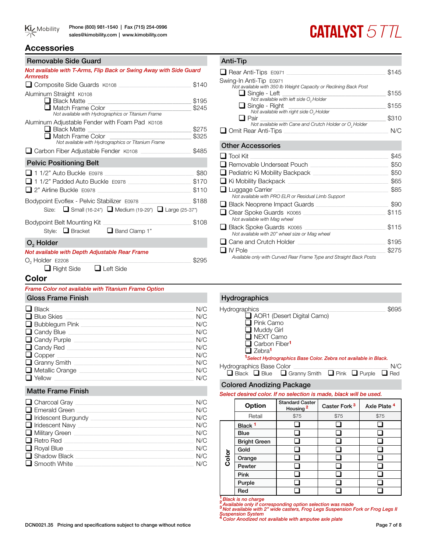# **CATALYST 577L**

# **Accessories**

#### Removable Side Guard

| nemovabic oluc audiu                                                                                                                                                                            |                        |  |  |  |  |  |  |  |  |
|-------------------------------------------------------------------------------------------------------------------------------------------------------------------------------------------------|------------------------|--|--|--|--|--|--|--|--|
| Not available with T-Arms, Flip Back or Swing Away with Side Guard<br>Armrests                                                                                                                  |                        |  |  |  |  |  |  |  |  |
| □ Composite Side Guards K0108                                                                                                                                                                   |                        |  |  |  |  |  |  |  |  |
| Aluminum Straight K0108<br><b>■ Black Matte</b> <u>■ 【 Read The Richard Theory Andrew Windows 2004</u><br>$\Box$ Match Frame Color $\Box$<br>Not available with Hydrographics or Titanium Frame |                        |  |  |  |  |  |  |  |  |
| Aluminum Adjustable Fender with Foam Pad K0108<br>Black Matte<br>$\Box$ Match Frame Color<br>Not available with Hydrographics or Titanium Frame                                                 | \$275<br>\$325         |  |  |  |  |  |  |  |  |
| □ Carbon Fiber Adjustable Fender K0108                                                                                                                                                          | \$485                  |  |  |  |  |  |  |  |  |
| <b>Pelvic Positioning Belt</b>                                                                                                                                                                  |                        |  |  |  |  |  |  |  |  |
| $\blacksquare$ 1 1/2" Auto Buckle $E$ 0978<br>11/2" Padded Auto Buckle E0978<br>$\Box$ 2" Airline Buckle $E$ 0978                                                                               | \$80<br>\$170<br>\$110 |  |  |  |  |  |  |  |  |
| Bodypoint Evoflex - Pelvic Stabilizer E0978<br>Size: ■ Small (16-24") ■ Medium (19-29") ■ Large (25-37")                                                                                        | \$188                  |  |  |  |  |  |  |  |  |
| Style: Bracket <b>D</b> Band Clamp 1"                                                                                                                                                           | \$108                  |  |  |  |  |  |  |  |  |
| $O2$ Holder                                                                                                                                                                                     |                        |  |  |  |  |  |  |  |  |
| Not available with Depth Adjustable Rear Frame<br>$O2$ Holder E2208<br>□ Right Side □ Left Side                                                                                                 |                        |  |  |  |  |  |  |  |  |

#### Anti-Tip

| Rear Anti-Tips E0971                                                                     | \$145 |
|------------------------------------------------------------------------------------------|-------|
| Swing-In Anti-Tip E0971                                                                  |       |
| Not available with 350 lb Weight Capacity or Reclining Back Post<br>$\Box$ Single - Left | \$155 |
| Not available with left side O <sub>2</sub> Holder                                       |       |
| <b>□</b> Single - Right                                                                  | \$155 |
| Not available with right side O <sub>2</sub> Holder<br>$\blacksquare$ Pair               | \$310 |
| Not available with Cane and Crutch Holder or $O2$ Holder                                 |       |
| $\Box$ Omit Rear Anti-Tips                                                               | N/C   |
|                                                                                          |       |
| <b>Other Accessories</b>                                                                 |       |
| $\Box$ Tool Kit                                                                          | \$45  |
| □ Removable Underseat Pouch                                                              | \$50  |
| $\Box$ Pediatric Ki Mobility Backpack                                                    | \$50  |
| $\Box$ Ki Mobility Backpack                                                              | \$65  |
| $\Box$ Luggage Carrier                                                                   | \$85  |
| Not available with PRO ELR or Residual Limb Support                                      |       |
| $\Box$ Black Neoprene Impact Guards                                                      | \$90  |
| □ Clear Spoke Guards K0065                                                               | \$115 |
| Not available with Mag wheel                                                             |       |
| Black Spoke Guards K0065<br>Not available with 20" wheel size or Mag wheel               | \$115 |
| $\Box$ Cane and Crutch Holder                                                            | \$195 |
| ∐ IV Pole                                                                                | \$275 |
| Available only with Curved Rear Frame Type and Straight Back Posts                       |       |

#### **Color**

#### *Frame Color not available with Titanium Frame Option*

#### Gloss Frame Finish

| N/C |
|-----|
| N/C |
| N/C |
| N/C |
| N/C |
| N/C |
| N/C |
| N/C |
| N/C |
| N/C |
|     |

#### Matte Frame Finish

| $\Box$ Charcoal Gray $\_$    | N/C |
|------------------------------|-----|
| $\Box$ Emerald Green         | N/C |
| $\Box$ Iridescent Burgundy   | N/C |
| $\Box$ Iridescent Navy       | N/C |
| $\Box$ Military Green $\Box$ | N/C |
| $\Box$ Retro Red             | N/C |
| $\Box$ Royal Blue            | N/C |
| $\Box$ Shadow Black          | N/C |
| $\Box$ Smooth White          | N/C |

#### Hydrographics Hydrographics \_\_\_\_\_\_\_\_\_\_\_\_\_\_\_\_\_\_\_\_\_\_\_\_\_\_\_\_\_\_\_\_\_\_\_\_\_\_\_\_\_\_\_\_\_\_\_\_\_\_\_\_\_\_\_\_\_\_\_\_\_\_\_\_\_\_\_\_\_\_\_\_\_\_\_\_\_\_\_\_\_\_\_\_\_\_\_\_\_ \$695 AOR1 (Desert Digital Camo)  $\overline{\Box}$  Pink Camo  $\overline{\Box}$  Muddy Girl **Q** NEXT Camo

**Q** Carbon Fiber<sup>1</sup> □ Zebra<sup>1</sup>

**<sup>1</sup>***Select Hydrographics Base Color. Zebra not available in Black.*

| <b>Hydrographics Base Color</b> |                                                                                   |  | N/C |
|---------------------------------|-----------------------------------------------------------------------------------|--|-----|
|                                 | $\Box$ Black $\Box$ Blue $\Box$ Granny Smith $\Box$ Pink $\Box$ Purple $\Box$ Red |  |     |

#### Colored Anodizing Package

*Select desired color. If no selection is made, black will be used.* 

|       | Option              | <b>Standard Caster</b><br>Housing <sup>2</sup> | Caster Fork <sup>3</sup> | Axle Plate <sup>4</sup> |  |  |  |
|-------|---------------------|------------------------------------------------|--------------------------|-------------------------|--|--|--|
|       | Retail              | \$75                                           | \$75                     | \$75                    |  |  |  |
|       | Black <sup>1</sup>  |                                                |                          |                         |  |  |  |
|       | Blue                |                                                |                          |                         |  |  |  |
|       | <b>Bright Green</b> |                                                |                          |                         |  |  |  |
|       | Gold                |                                                |                          |                         |  |  |  |
| Color | Orange              |                                                |                          |                         |  |  |  |
|       | Pewter              |                                                |                          |                         |  |  |  |
|       | Pink                |                                                |                          |                         |  |  |  |
|       | Purple              |                                                |                          |                         |  |  |  |
|       | Red                 |                                                |                          |                         |  |  |  |

**<sup>1</sup>** *Black is no charge* **<sup>2</sup>** *Available only if corresponding option selection was made* **<sup>3</sup>** *Not available with 2" wide casters, Frog Legs Suspension Fork or Frog Legs II* 

*Suspension System* **<sup>4</sup>***Color Anodized not available with amputee axle plate*